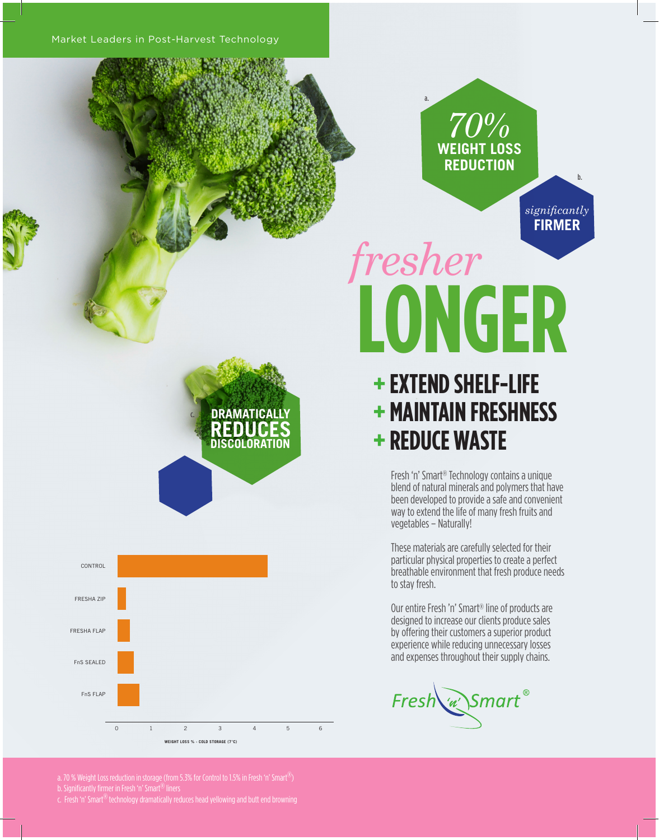*70%* **WEIGHT LOSS REDUCTION**

**FIRMER**

*significantly*

b.

a.

## **LONGER** *fresher*

## **+ EXTEND SHELF-LIFE + MAINTAIN FRESHNESS + REDUCE WASTE**

Fresh 'n' Smart® Technology contains a unique blend of natural minerals and polymers that have been developed to provide a safe and convenient way to extend the life of many fresh fruits and vegetables – Naturally!

These materials are carefully selected for their particular physical properties to create a perfect breathable environment that fresh produce needs to stay fresh.

Our entire Fresh 'n' Smart® line of products are designed to increase our clients produce sales by offering their customers a superior product experience while reducing unnecessary losses and expenses throughout their supply chains.

Fresh w Smart®

c. **DRAMATICALLY REDUC DISCOLORATION**



a. 70 % Weight Loss reduction in storage (from 5.3% for Control to 1.5% in Fresh 'n' Smart $^{\circledR})$